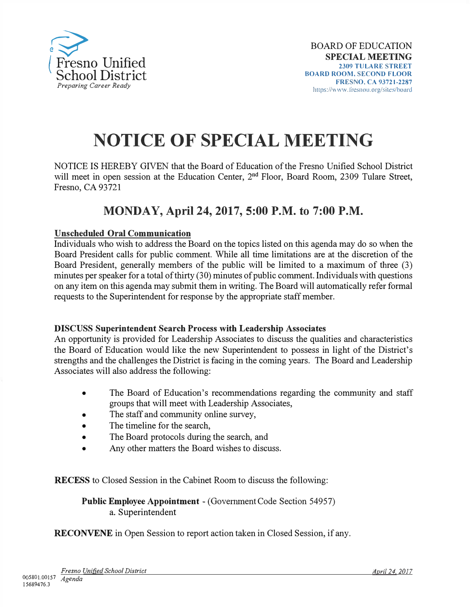

## **NOTICE OF SPECIAL MEETING**

NOTICE IS HEREBY GIVEN that the Board of Education of the Fresno Unified School District will meet in open session at the Education Center, 2<sup>nd</sup> Floor, Board Room, 2309 Tulare Street, Fresno, CA 93721

## **MONDAY, April 24, 2017, 5:00 P.M. to 7:00 P.M.**

## **Unscheduled Oral Communication**

Individuals who wish to address the Board on the topics listed on this agenda may do so when the Board President calls for public comment. While all time limitations are at the discretion of the Board President, generally members of the public will be limited to a maximum of three (3) minutes per speaker for a total of thirty (30) minutes of public comment. Individuals with questions on any item on this agenda may submit them in writing. The Board will automatically refer formal requests to the Superintendent for response by the appropriate staff member.

## **DISCUSS Superintendent Search P�ocess with Leadership Associates**

An opportunity is provided for Leadership Associates to discuss the qualities and characteristics the Board of Education would like the new Superintendent to possess in light of the District's strengths and the challenges the District is facing in the coming years. The Board and Leadership Associates will also address the following:

- The Board of Education's recommendations regarding the community and staff groups that will meet with Leadership Associates,
- The staff and community online survey,
- The timeline for the search,
- The Board protocols during the search, and
- Any other matters the Board wishes to discuss.

**RECESS** to Closed Session in the Cabinet Room to discuss the following:

**Public Employee Appointment** - (Government Code Section 54957) a. Superintendent

**RECONVENE** in Open Session to report action taken in Closed Session, if any.